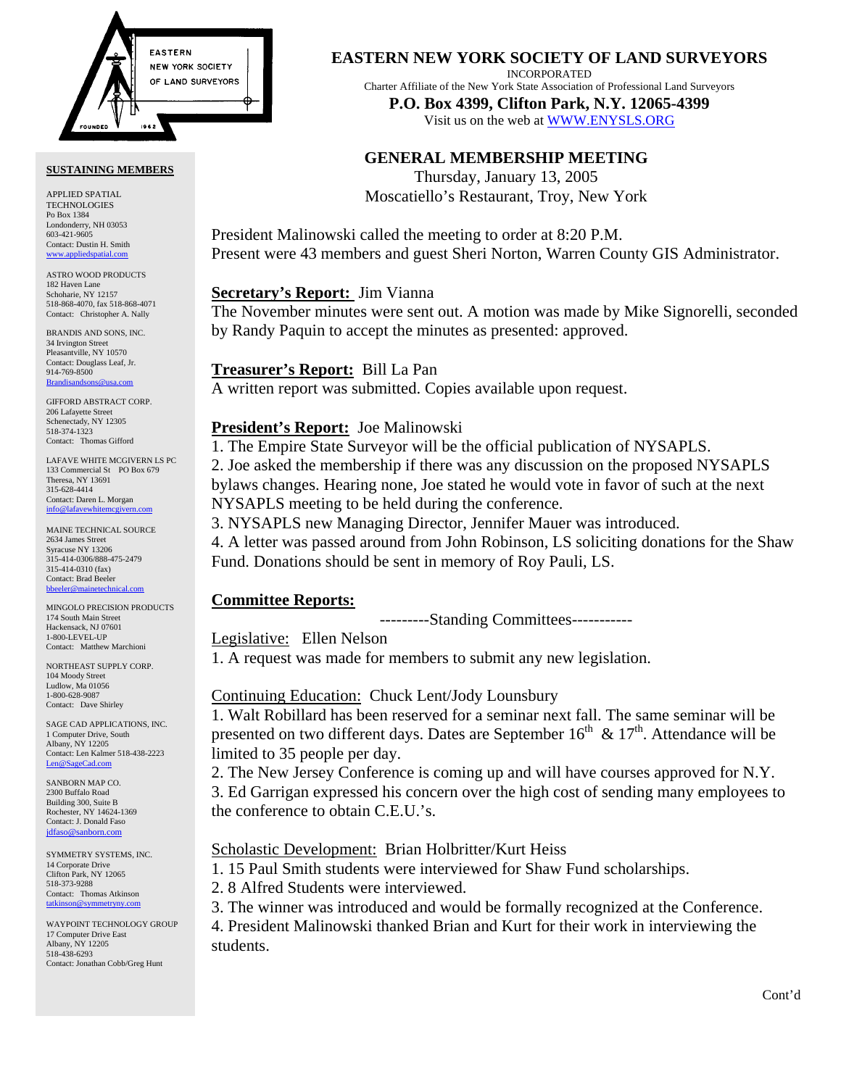

#### **SUSTAINING MEMBERS**

APPLIED SPATIAL TECHNOLOGIES Po Box 1384 Londonderry, NH 03053 603-421-9605 Contact: Dustin H. Smith <www.appliedspatial.com>

ASTRO WOOD PRODUCTS 182 Haven Lane Schoharie, NY 12157 518-868-4070, fax 518-868-4071 Contact: Christopher A. Nally

BRANDIS AND SONS, INC. 34 Irvington Street Pleasantville, NY 10570 Contact: Douglass Leaf, Jr. 914-769-8500 **Brandisar** 

GIFFORD ABSTRACT CORP. 206 Lafayette Street Schenectady, NY 12305 518-374-1323 Contact: Thomas Gifford

LAFAVE WHITE MCGIVERN LS PC 133 Commercial St PO Box 679 Theresa, NY 13691 315-628-4414 Contact: Daren L. Morgan [info@lafavewhitemcgivern.com](mailto:info@lafavewhitemcgivern.com)

MAINE TECHNICAL SOURCE 2634 James Street Syracuse NY 13206 315-414-0306/888-475-2479 315-414-0310 (fax) Contact: Brad Beeler [bbeeler@mainetechnical.com](mailto:bbeeler@mainetechnical.com)

MINGOLO PRECISION PRODUCTS 174 South Main Street Hackensack, NJ 07601 1-800-LEVEL-UP Contact: Matthew Marchioni

NORTHEAST SUPPLY CORP. 104 Moody Street Ludlow, Ma 01056 1-800-628-9087 Contact: Dave Shirley

SAGE CAD APPLICATIONS, INC. 1 Computer Drive, South Albany, NY 12205 Contact: Len Kalmer 518-438-2223 [Len@SageCad.com](mailto:len@sagecad.com)

SANBORN MAP CO. 2300 Buffalo Road Building 300, Suite B Rochester, NY 14624-1369 Contact: J. Donald Faso [jdfaso@sanborn.com](mailto:jdfaso@sanborn.com)

SYMMETRY SYSTEMS, INC. 14 Corporate Drive Clifton Park, NY 12065 518-373-9288 Contact: Thomas Atkinson [tatkinson@symmetryny.com](mailto:tatkinson@symmetryny.com)

WAYPOINT TECHNOLOGY GROUP 17 Computer Drive East Albany, NY 12205 518-438-6293 Contact: Jonathan Cobb/Greg Hunt

**EASTERN NEW YORK SOCIETY OF LAND SURVEYORS**

INCORPORATED

Charter Affiliate of the New York State Association of Professional Land Surveyors **P.O. Box 4399, Clifton Park, N.Y. 12065-4399** 

Visit us on the web a[t WWW.ENYSLS.ORG](www. enysls.org)

## **GENERAL MEMBERSHIP MEETING**

Thursday, January 13, 2005 Moscatiello's Restaurant, Troy, New York

President Malinowski called the meeting to order at 8:20 P.M. Present were 43 members and guest Sheri Norton, Warren County GIS Administrator.

## **Secretary's Report:** Jim Vianna

The November minutes were sent out. A motion was made by Mike Signorelli, seconded by Randy Paquin to accept the minutes as presented: approved.

## **Treasurer's Report:** Bill La Pan

A written report was submitted. Copies available upon request.

## **President's Report:** Joe Malinowski

1. The Empire State Surveyor will be the official publication of NYSAPLS.

2. Joe asked the membership if there was any discussion on the proposed NYSAPLS bylaws changes. Hearing none, Joe stated he would vote in favor of such at the next NYSAPLS meeting to be held during the conference.

3. NYSAPLS new Managing Director, Jennifer Mauer was introduced.

4. A letter was passed around from John Robinson, LS soliciting donations for the Shaw Fund. Donations should be sent in memory of Roy Pauli, LS.

# **Committee Reports:**

---------Standing Committees-----------

## Legislative: Ellen Nelson

1. A request was made for members to submit any new legislation.

# Continuing Education: Chuck Lent/Jody Lounsbury

1. Walt Robillard has been reserved for a seminar next fall. The same seminar will be presented on two different days. Dates are September  $16<sup>th</sup> \& 17<sup>th</sup>$ . Attendance will be limited to 35 people per day.

2. The New Jersey Conference is coming up and will have courses approved for N.Y. 3. Ed Garrigan expressed his concern over the high cost of sending many employees to the conference to obtain C.E.U.'s.

# Scholastic Development: Brian Holbritter/Kurt Heiss

- 1. 15 Paul Smith students were interviewed for Shaw Fund scholarships.
- 2. 8 Alfred Students were interviewed.
- 3. The winner was introduced and would be formally recognized at the Conference.

4. President Malinowski thanked Brian and Kurt for their work in interviewing the students.